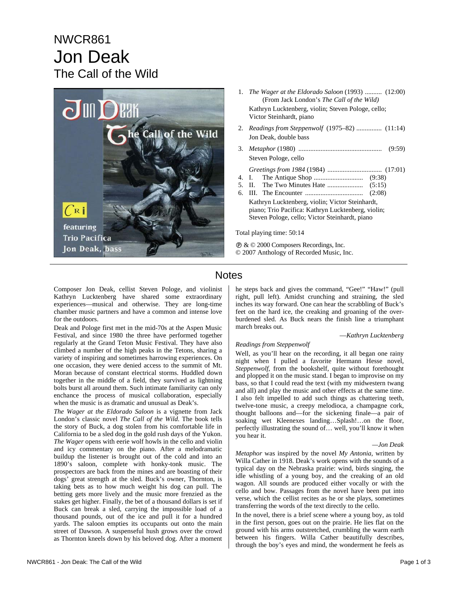# NWCR861 Jon Deak The Call of the Wild



- 1. *The Wager at the Eldorado Saloon* (1993) .......... (12:00) (From Jack London's *The Call of the Wild)* Kathryn Lucktenberg, violin; Steven Pologe, cello; Victor Steinhardt, piano
- 2. *Readings from Steppenwolf* (1975–82) ............... (11:14) Jon Deak, double bass
- 3. *Metaphor* (1980) ................................................. (9:59) Steven Pologe, cello

 *Greetings from 1984* (1984) ................................ (17:01)

- 4. I. The Antique Shop ............................. (9:38)
- 5. II. The Two Minutes Hate ..................... (5:15)
- 6. III. The Encounter .................................. (2:08) Kathryn Lucktenberg, violin; Victor Steinhardt, piano; Trio Pacifica: Kathryn Lucktenberg, violin; Steven Pologe, cello; Victor Steinhardt, piano

Total playing time: 50:14

Ê & © 2000 Composers Recordings, Inc. © 2007 Anthology of Recorded Music, Inc.

### **Notes**

Composer Jon Deak, cellist Steven Pologe, and violinist Kathryn Lucktenberg have shared some extraordinary experiences—musical and otherwise. They are long-time chamber music partners and have a common and intense love for the outdoors.

Deak and Pologe first met in the mid-70s at the Aspen Music Festival, and since 1980 the three have performed together regularly at the Grand Teton Music Festival. They have also climbed a number of the high peaks in the Tetons, sharing a variety of inspiring and sometimes harrowing experiences. On one occasion, they were denied access to the summit of Mt. Moran because of constant electrical storms. Huddled down together in the middle of a field, they survived as lightning bolts burst all around them. Such intimate familiarity can only enchance the process of musical collaboration, especially when the music is as dramatic and unusual as Deak's.

*The Wager at the Eldorado Saloon* is a vignette from Jack London's classic novel *The Call of the Wild*. The book tells the story of Buck, a dog stolen from his comfortable life in California to be a sled dog in the gold rush days of the Yukon. *The Wager* opens with eerie wolf howls in the cello and violin and icy commentary on the piano. After a melodramatic buildup the listener is brought out of the cold and into an 1890's saloon, complete with honky-tonk music. The prospectors are back from the mines and are boasting of their dogs' great strength at the sled. Buck's owner, Thornton, is taking bets as to how much weight his dog can pull. The betting gets more lively and the music more frenzied as the stakes get higher. Finally, the bet of a thousand dollars is set if Buck can break a sled, carrying the impossible load of a thousand pounds, out of the ice and pull it for a hundred yards. The saloon empties its occupants out onto the main street of Dawson. A suspenseful hush grows over the crowd as Thornton kneels down by his beloved dog. After a moment

he steps back and gives the command, "Gee!" "Haw!" (pull right, pull left). Amidst crunching and straining, the sled inches its way forward. One can hear the scrabbling of Buck's feet on the hard ice, the creaking and groaning of the overburdened sled. As Buck nears the finish line a triumphant march breaks out.

#### —*Kathryn Lucktenberg*

#### *Readings from Steppenwolf*

Well, as you'll hear on the recording, it all began one rainy night when I pulled a favorite Hermann Hesse novel, *Steppenwolf*, from the bookshelf, quite without forethought and plopped it on the music stand. I began to improvise on my bass, so that I could read the text (with my midwestern twang and all) and play the music and other effects at the same time. I also felt impelled to add such things as chattering teeth, twelve-tone music, a creepy melodioca, a champagne cork, thought balloons and—for the sickening finale—a pair of soaking wet Kleenexes landing…Splash!…on the floor, perfectly illustrating the sound of… well, you'll know it when you hear it.

#### *—Jon Deak*

*Metaphor* was inspired by the novel *My Antonia*, written by Willa Cather in 1918. Deak's work opens with the sounds of a typical day on the Nebraska prairie: wind, birds singing, the idle whistling of a young boy, and the creaking of an old wagon. All sounds are produced either vocally or with the cello and bow. Passages from the novel have been put into verse, which the cellist recites as he or she plays, sometimes transferring the words of the text directly to the cello.

In the novel, there is a brief scene where a young boy, as told in the first person, goes out on the prairie. He lies flat on the ground with his arms outstretched, crumbling the warm earth between his fingers. Willa Cather beautifully describes, through the boy's eyes and mind, the wonderment he feels as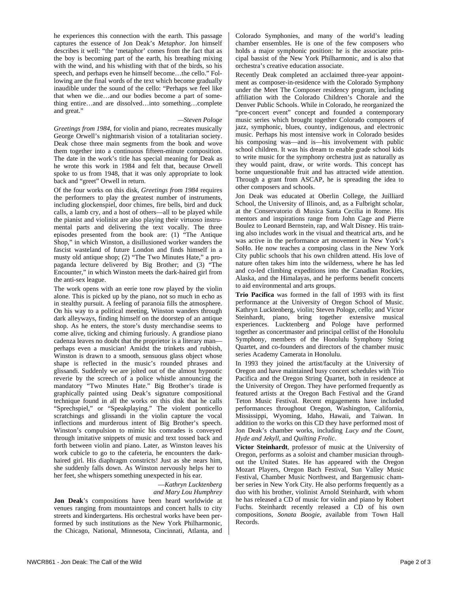he experiences this connection with the earth. This passage captures the essence of Jon Deak's *Metaphor*. Jon himself describes it well: "the 'metaphor' comes from the fact that as the boy is becoming part of the earth, his breathing mixing with the wind, and his whistling with that of the birds, so his speech, and perhaps even he himself become…the cello." Following are the final words of the text which become gradually inaudible under the sound of the cello: "Perhaps we feel like that when we die…and our bodies become a part of something entire…and are dissolved…into something…complete and great."

#### *—Steven Pologe*

*Greetings from 1984*, for violin and piano, recreates musically George Orwell's nightmarish vision of a totalitarian society. Deak chose three main segments from the book and wove them together into a continuous fifteen-minute composition. The date in the work's title has special meaning for Deak as he wrote this work in 1984 and felt that, because Orwell spoke to us from 1948, that it was only appropriate to look back and "greet" Orwell in return.

Of the four works on this disk, *Greetings from 1984* requires the performers to play the greatest number of instruments, including glockenspiel, door chimes, fire bells, bird and duck calls, a lamb cry, and a host of others—all to be played while the pianist and violinist are also playing their virtuoso instrumental parts and delivering the text vocally. The three episodes presented from the book are: (1) "The Antique Shop," in which Winston, a disillusioned worker wanders the fascist wasteland of future London and finds himself in a musty old antique shop; (2) "The Two Minutes Hate," a propaganda lecture delivered by Big Brother; and (3) "The Encounter," in which Winston meets the dark-haired girl from the anti-sex league.

The work opens with an eerie tone row played by the violin alone. This is picked up by the piano, not so much in echo as in stealthy pursuit. A feeling of paranoia fills the atmosphere. On his way to a political meeting, Winston wanders through dark alleyways, finding himself on the doorstep of an antique shop. As he enters, the store's dusty merchandise seems to come alive, ticking and chiming furiously. A grandiose piano cadenza leaves no doubt that the proprietor is a literary man perhaps even a musician! Amidst the trinkets and rubbish, Winston is drawn to a smooth, sensuous glass object whose shape is reflected in the music's rounded phrases and glissandi. Suddenly we are jolted out of the almost hypnotic reverie by the screech of a police whistle announcing the mandatory "Two Minutes Hate." Big Brother's tirade is graphically painted using Deak's signature compositional technique found in all the works on this disk that he calls "Sprechspiel," or "Speakplaying." The violent ponticello scratchings and glissandi in the violin capture the vocal inflections and murderous intent of Big Brother's speech. Winston's compulsion to mimic his comrades is conveyed through imitative snippets of music and text tossed back and forth between violin and piano. Later, as Winston leaves his work cubicle to go to the cafeteria, he encounters the darkhaired girl. His diaphragm constricts! Just as she nears him, she suddenly falls down. As Winston nervously helps her to her feet, she whispers something unexpected in his ear.

#### —*Kathryn Lucktenberg and Mary Lou Humphrey*

**Jon Deak**'s compositions have been heard worldwide at venues ranging from mountaintops and concert halls to city streets and kindergartens. His orchestral works have been performed by such institutions as the New York Philharmonic, the Chicago, National, Minnesota, Cincinnati, Atlanta, and Colorado Symphonies, and many of the world's leading chamber ensembles. He is one of the few composers who holds a major symphonic position: he is the associate principal bassist of the New York Philharmonic, and is also that orchestra's creative education associate.

Recently Deak completed an acclaimed three-year appointment as composer-in-residence with the Colorado Symphony under the Meet The Composer residency program, including affiliation with the Colorado Children's Chorale and the Denver Public Schools. While in Colorado, he reorganized the "pre-concert event" concept and founded a contemporary music series which brought together Colorado composers of jazz, symphonic, blues, country, indigenous, and electronic music. Perhaps his most intensive work in Colorado besides his composing was—and is—his involvement with public school children. It was his dream to enable grade school kids to write music for the symphony orchestra just as naturally as they would paint, draw, or write words. This concept has borne unquestionable fruit and has attracted wide attention. Through a grant from ASCAP, he is spreading the idea to other composers and schools.

Jon Deak was educated at Oberlin College, the Juilliard School, the University of Illinois, and, as a Fulbright scholar, at the Conservatorio di Musica Santa Cecilia in Rome. His mentors and inspirations range from John Cage and Pierre Boulez to Leonard Bernstein, rap, and Walt Disney. His training also includes work in the visual and theatrical arts, and he was active in the performance art movement in New York's SoHo. He now teaches a composing class in the New York City public schools that his own children attend. His love of nature often takes him into the wilderness, where he has led and co-led climbing expeditions into the Canadian Rockies, Alaska, and the Himalayas, and he performs benefit concerts to aid environmental and arts groups.

**Trio Pacifica** was formed in the fall of 1993 with its first performance at the University of Oregon School of Music. Kathryn Lucktenberg, violin; Steven Pologe, cello; and Victor Steinhardt, piano, bring together extensive musical experiences. Lucktenberg and Pologe have performed together as concertmaster and principal cellist of the Honolulu Symphony, members of the Honolulu Symphony String Quartet, and co-founders and directors of the chamber music series Academy Camerata in Honolulu.

In 1993 they joined the artist/faculty at the University of Oregon and have maintained busy concert schedules with Trio Pacifica and the Oregon String Quartet, both in residence at the University of Oregon. They have performed frequently as featured artists at the Oregon Bach Festival and the Grand Teton Music Festival. Recent engagements have included performances throughout Oregon, Washington, California, Mississippi, Wyoming, Idaho, Hawaii, and Taiwan. In addition to the works on this CD they have performed most of Jon Deak's chamber works, including *Lucy and the Count*, *Hyde and Jekyll*, and *Quilting Frolic*.

**Victor Steinhardt**, professor of music at the University of Oregon, performs as a soloist and chamber musician throughout the United States. He has appeared with the Oregon Mozart Players, Oregon Bach Festival, Sun Valley Music Festival, Chamber Music Northwest, and Bargemusic chamber series in New York City. He also performs frequently as a duo with his brother, violinist Arnold Steinhardt, with whom he has released a CD of music for violin and piano by Robert Fuchs. Steinhardt recently released a CD of his own compositions, *Sonata Boogie*, available from Town Hall Records.